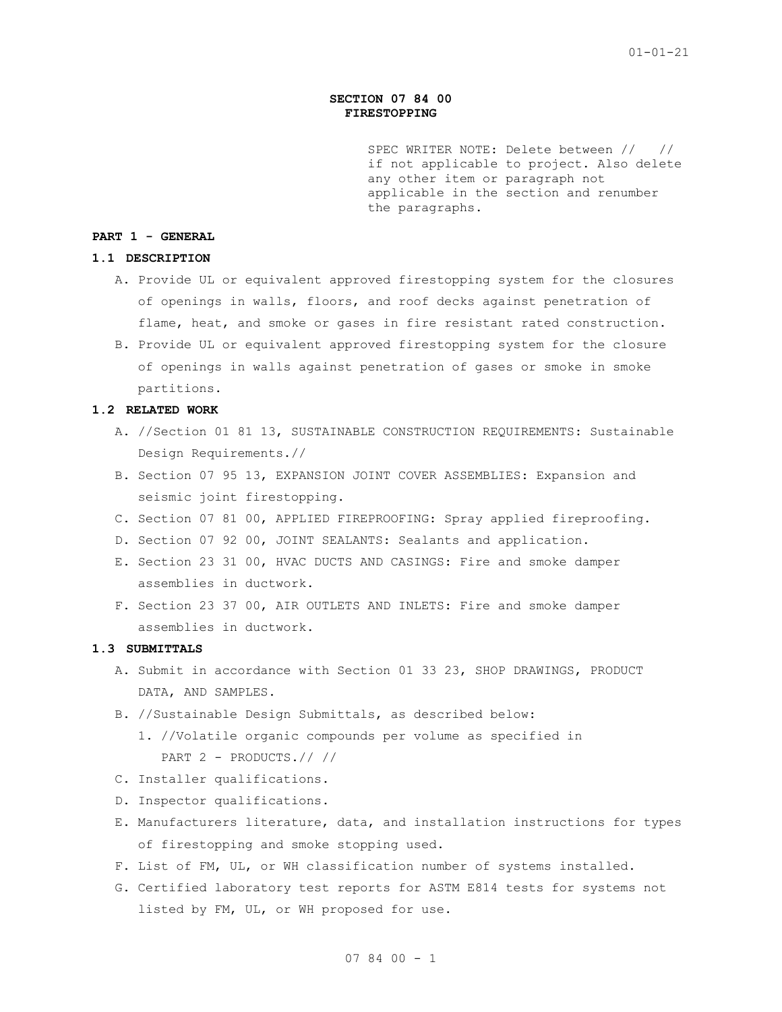## **SECTION 07 84 00 FIRESTOPPING**

SPEC WRITER NOTE: Delete between // // if not applicable to project. Also delete any other item or paragraph not applicable in the section and renumber the paragraphs.

## **PART 1 - GENERAL**

### **1.1 DESCRIPTION**

- A. Provide UL or equivalent approved firestopping system for the closures of openings in walls, floors, and roof decks against penetration of flame, heat, and smoke or gases in fire resistant rated construction.
- B. Provide UL or equivalent approved firestopping system for the closure of openings in walls against penetration of gases or smoke in smoke partitions.

## **1.2 RELATED WORK**

- A. //Section 01 81 13, SUSTAINABLE CONSTRUCTION REQUIREMENTS: Sustainable Design Requirements.//
- B. Section 07 95 13, EXPANSION JOINT COVER ASSEMBLIES: Expansion and seismic joint firestopping.
- C. Section 07 81 00, APPLIED FIREPROOFING: Spray applied fireproofing.
- D. Section 07 92 00, JOINT SEALANTS: Sealants and application.
- E. Section 23 31 00, HVAC DUCTS AND CASINGS: Fire and smoke damper assemblies in ductwork.
- F. Section 23 37 00, AIR OUTLETS AND INLETS: Fire and smoke damper assemblies in ductwork.

# **1.3 SUBMITTALS**

- A. Submit in accordance with Section 01 33 23, SHOP DRAWINGS, PRODUCT DATA, AND SAMPLES.
- B. //Sustainable Design Submittals, as described below:
	- 1. //Volatile organic compounds per volume as specified in PART 2 - PRODUCTS.// //
- C. Installer qualifications.
- D. Inspector qualifications.
- E. Manufacturers literature, data, and installation instructions for types of firestopping and smoke stopping used.
- F. List of FM, UL, or WH classification number of systems installed.
- G. Certified laboratory test reports for ASTM E814 tests for systems not listed by FM, UL, or WH proposed for use.

 $078400 - 1$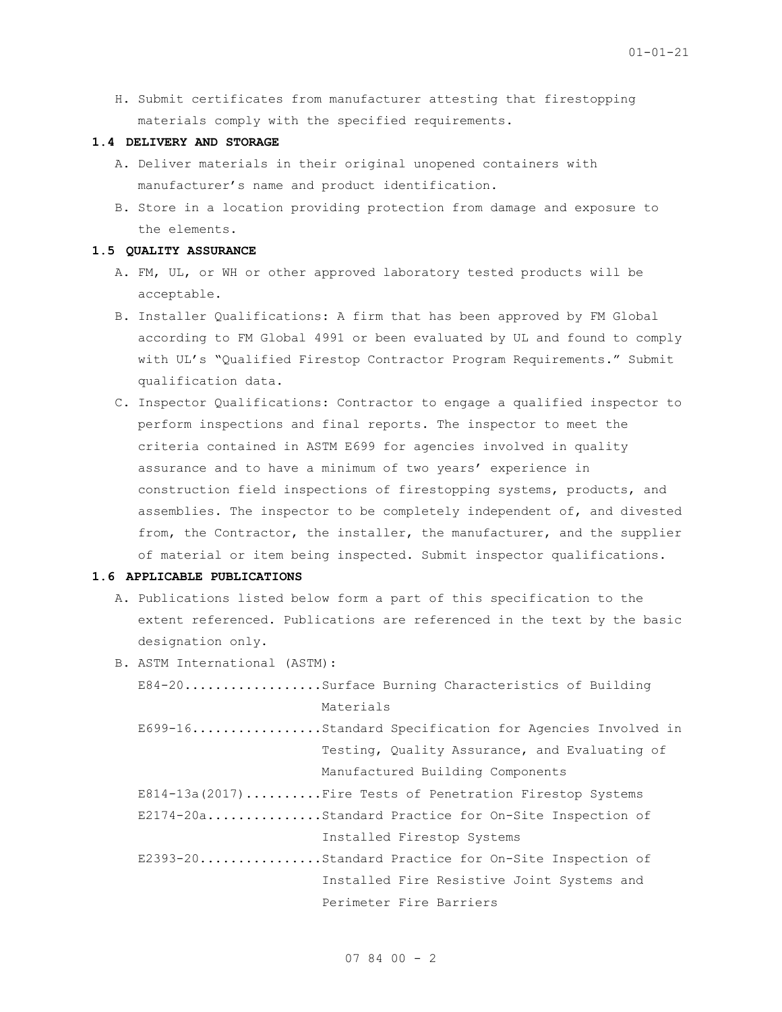H. Submit certificates from manufacturer attesting that firestopping materials comply with the specified requirements.

#### **1.4 DELIVERY AND STORAGE**

- A. Deliver materials in their original unopened containers with manufacturer's name and product identification.
- B. Store in a location providing protection from damage and exposure to the elements.

### **1.5 QUALITY ASSURANCE**

- A. FM, UL, or WH or other approved laboratory tested products will be acceptable.
- B. Installer Qualifications: A firm that has been approved by FM Global according to FM Global 4991 or been evaluated by UL and found to comply with UL's "Qualified Firestop Contractor Program Requirements." Submit qualification data.
- C. Inspector Qualifications: Contractor to engage a qualified inspector to perform inspections and final reports. The inspector to meet the criteria contained in ASTM E699 for agencies involved in quality assurance and to have a minimum of two years' experience in construction field inspections of firestopping systems, products, and assemblies. The inspector to be completely independent of, and divested from, the Contractor, the installer, the manufacturer, and the supplier of material or item being inspected. Submit inspector qualifications.

## **1.6 APPLICABLE PUBLICATIONS**

- A. Publications listed below form a part of this specification to the extent referenced. Publications are referenced in the text by the basic designation only.
- B. ASTM International (ASTM): E84-20..................Surface Burning Characteristics of Building Materials E699-16.................Standard Specification for Agencies Involved in Testing, Quality Assurance, and Evaluating of Manufactured Building Components E814-13a(2017).........Fire Tests of Penetration Firestop Systems E2174-20a...............Standard Practice for On-Site Inspection of Installed Firestop Systems E2393-20................Standard Practice for On-Site Inspection of Installed Fire Resistive Joint Systems and Perimeter Fire Barriers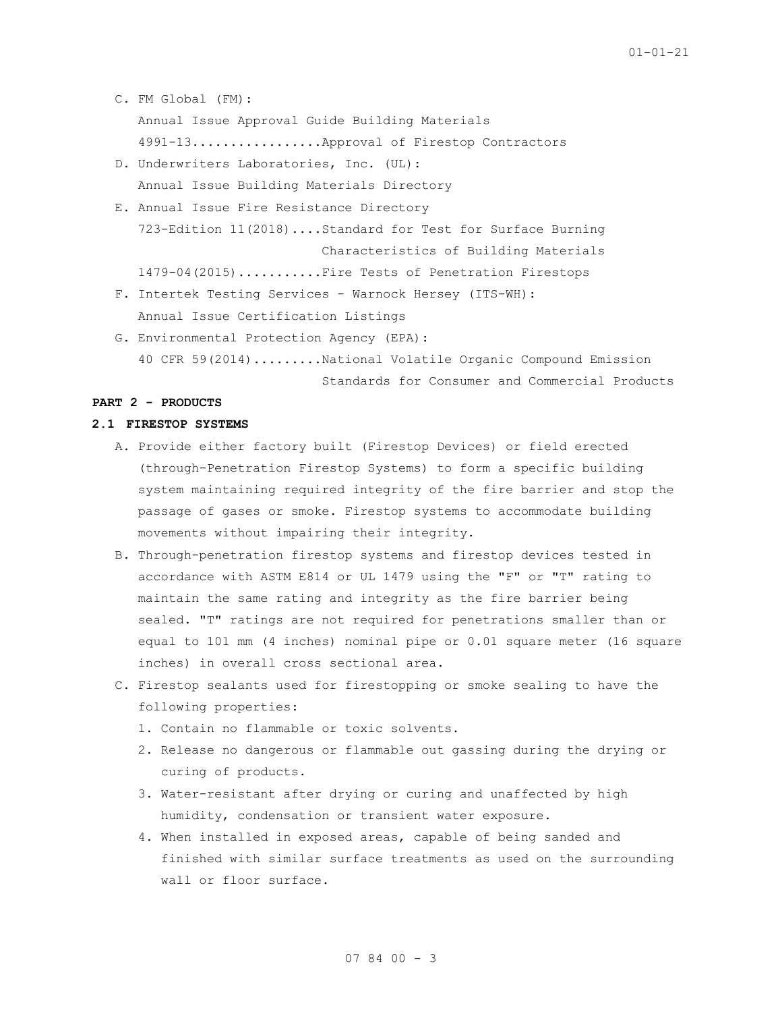- C. FM Global (FM):
	- Annual Issue Approval Guide Building Materials

4991-13.................Approval of Firestop Contractors

- D. Underwriters Laboratories, Inc. (UL): Annual Issue Building Materials Directory
- E. Annual Issue Fire Resistance Directory 723-Edition 11(2018)....Standard for Test for Surface Burning Characteristics of Building Materials 1479-04(2015)...........Fire Tests of Penetration Firestops
- F. Intertek Testing Services Warnock Hersey (ITS-WH): Annual Issue Certification Listings
- G. Environmental Protection Agency (EPA): 40 CFR 59(2014).........National Volatile Organic Compound Emission

Standards for Consumer and Commercial Products

# **PART 2 - PRODUCTS**

#### **2.1 FIRESTOP SYSTEMS**

- A. Provide either factory built (Firestop Devices) or field erected (through-Penetration Firestop Systems) to form a specific building system maintaining required integrity of the fire barrier and stop the passage of gases or smoke. Firestop systems to accommodate building movements without impairing their integrity.
- B. Through-penetration firestop systems and firestop devices tested in accordance with ASTM E814 or UL 1479 using the "F" or "T" rating to maintain the same rating and integrity as the fire barrier being sealed. "T" ratings are not required for penetrations smaller than or equal to 101 mm (4 inches) nominal pipe or 0.01 square meter (16 square inches) in overall cross sectional area.
- C. Firestop sealants used for firestopping or smoke sealing to have the following properties:
	- 1. Contain no flammable or toxic solvents.
	- 2. Release no dangerous or flammable out gassing during the drying or curing of products.
	- 3. Water-resistant after drying or curing and unaffected by high humidity, condensation or transient water exposure.
	- 4. When installed in exposed areas, capable of being sanded and finished with similar surface treatments as used on the surrounding wall or floor surface.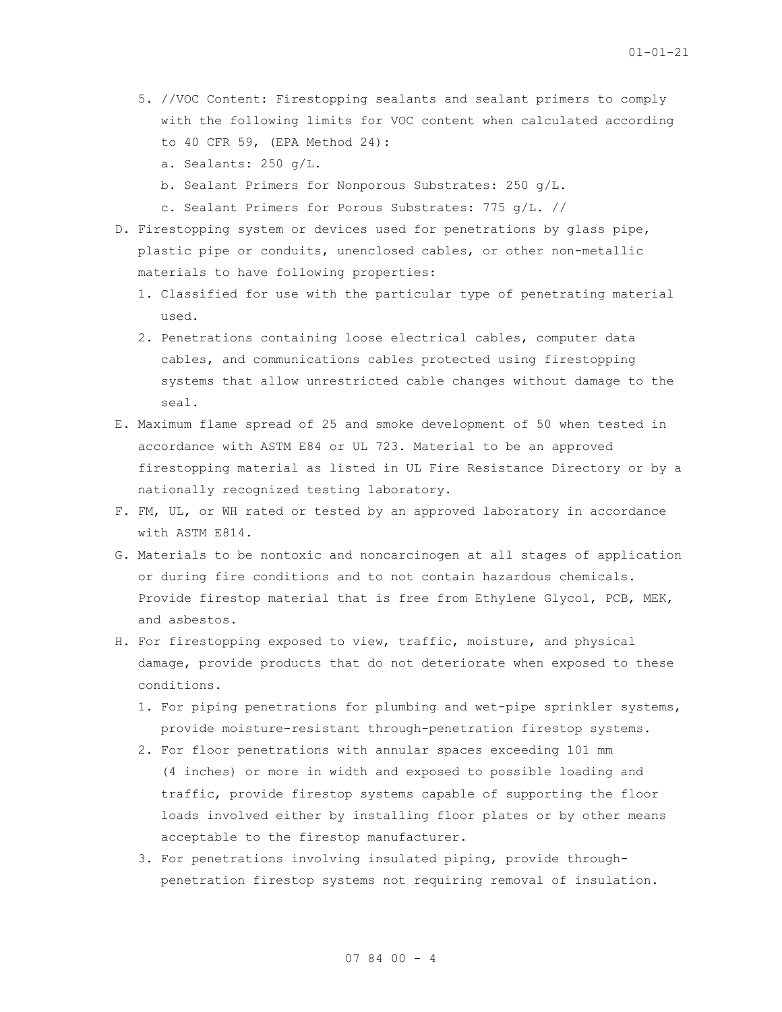- 5. //VOC Content: Firestopping sealants and sealant primers to comply with the following limits for VOC content when calculated according to 40 CFR 59, (EPA Method 24):
	- a. Sealants: 250 g/L.
	- b. Sealant Primers for Nonporous Substrates: 250 g/L.
	- c. Sealant Primers for Porous Substrates: 775 g/L. //
- D. Firestopping system or devices used for penetrations by glass pipe, plastic pipe or conduits, unenclosed cables, or other non-metallic materials to have following properties:
	- 1. Classified for use with the particular type of penetrating material used.
	- 2. Penetrations containing loose electrical cables, computer data cables, and communications cables protected using firestopping systems that allow unrestricted cable changes without damage to the seal.
- E. Maximum flame spread of 25 and smoke development of 50 when tested in accordance with ASTM E84 or UL 723. Material to be an approved firestopping material as listed in UL Fire Resistance Directory or by a nationally recognized testing laboratory.
- F. FM, UL, or WH rated or tested by an approved laboratory in accordance with ASTM E814.
- G. Materials to be nontoxic and noncarcinogen at all stages of application or during fire conditions and to not contain hazardous chemicals. Provide firestop material that is free from Ethylene Glycol, PCB, MEK, and asbestos.
- H. For firestopping exposed to view, traffic, moisture, and physical damage, provide products that do not deteriorate when exposed to these conditions.
	- 1. For piping penetrations for plumbing and wet-pipe sprinkler systems, provide moisture-resistant through-penetration firestop systems.
	- 2. For floor penetrations with annular spaces exceeding 101 mm (4 inches) or more in width and exposed to possible loading and traffic, provide firestop systems capable of supporting the floor loads involved either by installing floor plates or by other means acceptable to the firestop manufacturer.
	- 3. For penetrations involving insulated piping, provide throughpenetration firestop systems not requiring removal of insulation.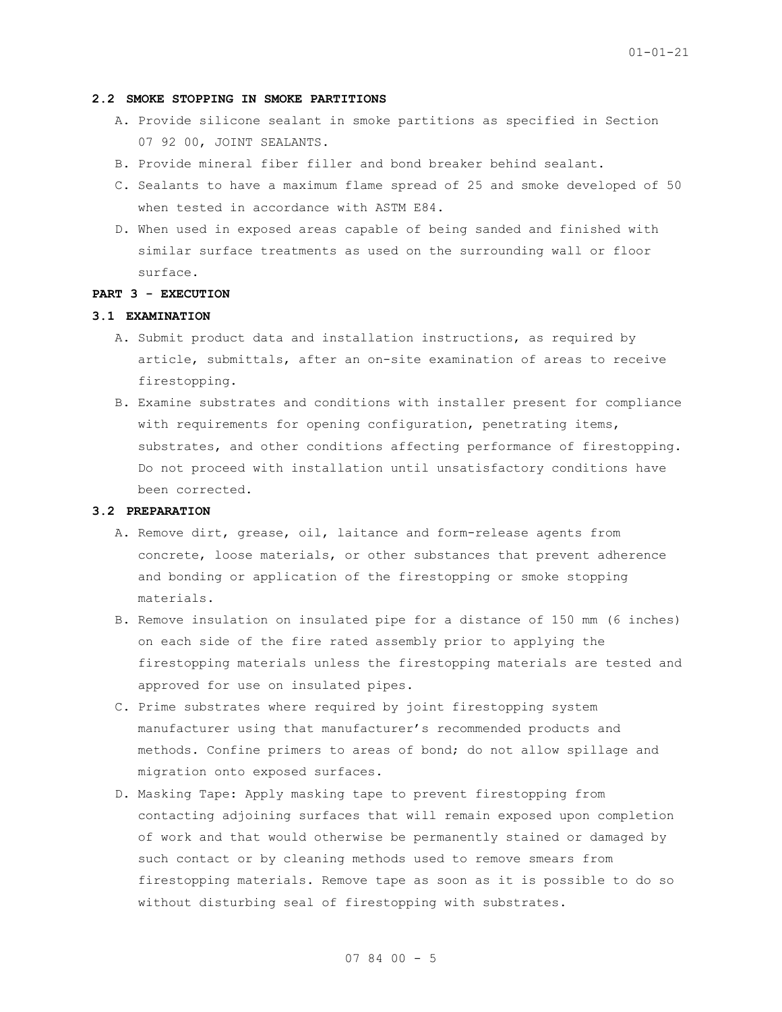#### **2.2 SMOKE STOPPING IN SMOKE PARTITIONS**

- A. Provide silicone sealant in smoke partitions as specified in Section 07 92 00, JOINT SEALANTS.
- B. Provide mineral fiber filler and bond breaker behind sealant.
- C. Sealants to have a maximum flame spread of 25 and smoke developed of 50 when tested in accordance with ASTM E84.
- D. When used in exposed areas capable of being sanded and finished with similar surface treatments as used on the surrounding wall or floor surface.

## **PART 3 - EXECUTION**

# **3.1 EXAMINATION**

- A. Submit product data and installation instructions, as required by article, submittals, after an on-site examination of areas to receive firestopping.
- B. Examine substrates and conditions with installer present for compliance with requirements for opening configuration, penetrating items, substrates, and other conditions affecting performance of firestopping. Do not proceed with installation until unsatisfactory conditions have been corrected.

### **3.2 PREPARATION**

- A. Remove dirt, grease, oil, laitance and form-release agents from concrete, loose materials, or other substances that prevent adherence and bonding or application of the firestopping or smoke stopping materials.
- B. Remove insulation on insulated pipe for a distance of 150 mm (6 inches) on each side of the fire rated assembly prior to applying the firestopping materials unless the firestopping materials are tested and approved for use on insulated pipes.
- C. Prime substrates where required by joint firestopping system manufacturer using that manufacturer's recommended products and methods. Confine primers to areas of bond; do not allow spillage and migration onto exposed surfaces.
- D. Masking Tape: Apply masking tape to prevent firestopping from contacting adjoining surfaces that will remain exposed upon completion of work and that would otherwise be permanently stained or damaged by such contact or by cleaning methods used to remove smears from firestopping materials. Remove tape as soon as it is possible to do so without disturbing seal of firestopping with substrates.